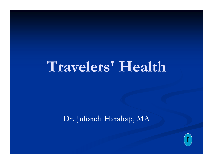## Travelers' Health

Dr. Juliandi Harahap, MA

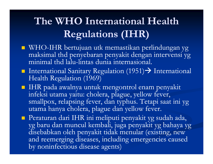## The WHO International Health Regulations (IHR)

- WHO-IHR bertujuan utk memastikan perlindungan yg maksimal thd penyebaran penyakit dengan intervensi yg minimal thd lalu-lintas dunia internasional.
- International Sanitary Regulation (1951) → International<br>Health Regulation (1969) Health Regulation (1969)
- IHR pada awalnya untuk mengontrol enam penyakit infeksi utama yaitu: cholera, plague, yellow fever, smallpox, relapsing fever, dan typhus. Tetapi saat ini yg utama hanya cholera, plague dan yellow fever.
- **Peraturan dari IHR ini meliputi penyakit yg sudah ada,** yg baru dan muncul kembali, juga penyakit yg bahaya yg disebabkan oleh penyakit tidak menular (existing, new and reemerging diseases, including emergencies caused by noninfectious disease agents)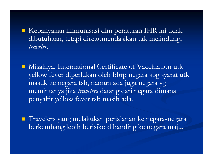Kebanyakan immunisasi dlm peraturan IHR ini tidak dibutuhkan, tetapi direkomendasikan utk melindungi traveler.

Misalnya, International Certificate of Vaccination utk yellow fever diperlukan oleh bbrp negara sbg syarat utk masuk ke negara tsb, namun ada juga negara yg memintanya jika *travelers* datang dari negara dimana penyakit yellow fever tsb masih ada.

 Travelers yang melakukan perjalanan ke negara negara-negara berkembang lebih berisiko dibanding ke negara maju.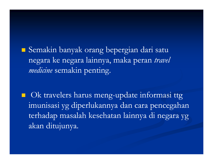Semakin banyak orang bepergian dari satu negara ke negara lainnya, maka peran travel medicine semakin penting.

 $\blacksquare$  Ok travelers harus meng-update informasi ttg imunisasi yg diperlukannya dan cara pencegahan terhadap masalah kesehatan lainnya di negara yg akan ditujunya.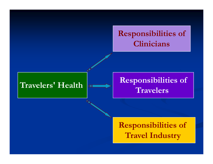#### Responsibilities ofClinicians

#### Travelers' Health

#### Responsibilities of **Travelers**

#### Responsibilities of Travel Industry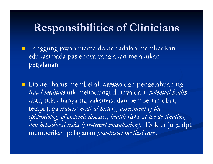### Responsibilities of Clinicians

- Tanggung jawab utama dokter adalah memberikan edukasi pada pasiennya yang akan melakukan perjalanan.
- **D**okter harus membekali trevelers dgn pengetahuan ttg travel medicine utk melindungi dirinya dari *potential health* risks, tidak hanya ttg vaksinasi dan pemberian obat, tetapi juga travels' medical history, assessment of the epidemiology of endemic diseases, health risks at the destination, dan behavioral risks (pre-travel consultation). Dokter juga dpt memberikan pelayanan *post-travel medical care* .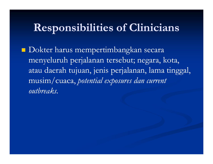### Responsibilities of Clinicians

**D**okter harus mempertimbangkan secara menyeluruh perjalanan tersebut; negara, kota, atau daerah tujuan, jenis perjalanan, lama tinggal, musim/cuaca, potential exposures dan current outbreaks.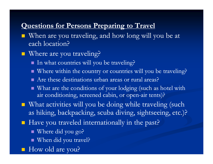#### Questions for Persons Preparing to Travel

- When are you traveling, and how long will you be at each location?
- Where are you traveling?
	- In what countries will you be traveling?
	- Where within the country or countries will you be traveling?
	- Are these destinations urban areas or rural areas?
	- What are the conditions of your lodging (such as hotel with air conditioning, screened cabin, or open-air tents)?
- What activities will you be doing while traveling (such as hiking, backpacking, scuba diving, sightseeing, etc.)?
- Have you traveled internationally in the past?
	- Where did you go?
	- When did you travel?
- How old are you?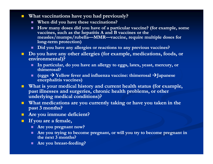- What vaccinations have you had previously?
	- When did you have these vaccinations?
	- How many doses did you have of a particular vaccine? (for example, some vaccines, such as the hepatitis A and B vaccines or the measles/mumps/rubella—MMR—vaccine, require multiple doses for long-term protection)
	- Did you have any allergies or reactions to any previous vaccines?
- Do you have any other allergies (for example, medications, foods, or environmental)?
	- In particular, do you have an allergy to eggs, latex, yeast, mercury, or  $\blacksquare$ thimerosal?
	- (eggs  $\rightarrow$  Yellow fever and influenza vaccine: thimerosal  $\rightarrow$  Japanese encephalitis vaccines) encephalitis vaccines)
- What is your medical history and current health status (for example, past illnesses and surgeries, chronic health problems, or other underlying medical conditions)?
- $\blacksquare$  What medications are you currently taking or have you taken in the past 3 months?
- **Are you immune deficient?**
- $\blacksquare$  If you are a female,
	- Are you pregnant now?
	- Are you trying to become pregnant, or will you try to become pregnant in the next 3 months?
	- $\blacksquare$  Are you breast-feeding?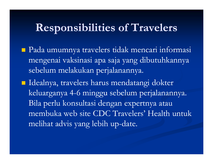### Responsibilities of Travelers

- Pada umumnya travelers tidak mencari informasi mengenai vaksinasi apa saja yang dibutuhkannya sebelum melakukan perjalanannya.
- Idealnya, travelers harus mendatangi dokter keluarganya 4-6 minggu sebelum perjalanannya. Bila perlu konsultasi dengan expertnya atau membuka web site CDC Travelers' Health untuk melihat advis yang lebih up-date.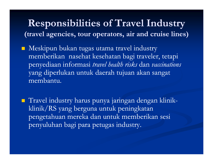#### Responsibilities of Travel Industry (travel agencies, tour operators, air and cruise lines)

- Meskipun bukan tugas utama travel industry memberikan nasehat kesehatan bagi traveler, tetapi penyediaan informasi travel health risks dan vaccinations yang diperlukan untuk daerah tujuan akan sangat membantu.
- Travel industry harus punya jaringan dengan klinikklinik/RS yang berguna untuk peningkatan pengetahuan mereka dan untuk memberikan sesi penyuluhan bagi para petugas industry.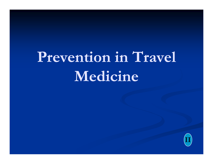# Prevention in Travel Medicine

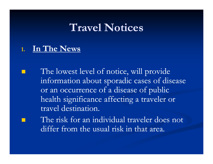#### 1. In The News

 The lowest level of notice, will provide information about sporadic cases of disease or an occurrence of a disease of public health significance affecting a traveler or travel destination.

 The risk for an individual traveler does not differ from the usual risk in that area.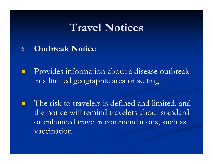#### 2.Outbreak Notice

 Provides information about a disease outbreak in a limited geographic area or setting.

 The risk to travelers is defined and limited, and the notice will remind travelers about standard or enhanced travel recommendations, such as vaccination.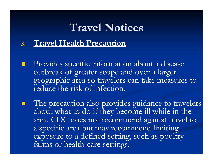#### 3. Travel Health Precaution

- Provides specific information about a disease outbreak of greater scope and over a larger geographic area so travelers can take measures to reduce the risk of infection.
- The precaution also provides guidance to travelers about what to do if they become ill while in the area. CDC does not recommend against travel to a specific area but may recommend limiting exposure to a defined setting, such as poultry farms or health-care settings.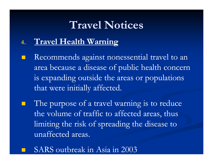#### 4.Travel Health Warning

- Recommends against nonessential travel to an area because a disease of public health concern is expanding outside the areas or populations that were initially affected.
- The purpose of a travel warning is to reduce the volume of traffic to affected areas, thus limiting the risk of spreading the disease to unaffected areas.
- SARS outbreak in Asia in 2003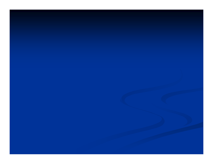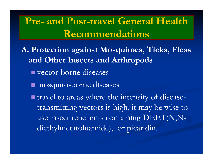### Pre- and Post-travel General Health Recommendations

- A. Protection against Mosquitoes, Ticks, Fleas and Other Insects and Arthropods
	- vector-borne diseases
	- mosquito-borne diseases
	- $\blacksquare$  travel to areas where the intensity of diseasetransmitting vectors is high, it may be wise to use insect repellents containing DEET(N,Ndiethylmetatoluamide), or picaridin.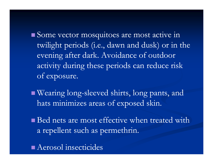Some vector mosquitoes are most active in twilight periods (i.e., dawn and dusk) or in the evening after dark. Avoidance of outdoor activity during these periods can reduce risk of exposure.

- $\blacksquare$  Wearing long-sleeved shirts, long pants, and hats minimizes areas of exposed skin.
- Bed nets are most effective when treated with a repellent such as permethrin.
- Aerosol insecticides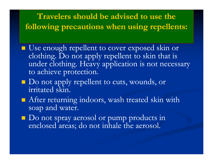Travelers should be advised to use the following precautions when using repellents:

- Use enough repellent to cover exposed skin or clothing. Do not apply repellent to skin that is under clothing. Heavy application is not necessary to achieve protection.
- $\blacksquare$  Do not apply repellent to cuts, wounds, or irritated skin.
- After returning indoors, wash treated skin with soap and water.
- Do not spray aerosol or pump products in enclosed areas; do not inhale the aerosol.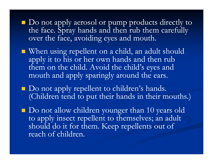- $\blacksquare$  Do not apply aerosol or pump products directly to the face. Spray hands and then rub them carefully over the face, avoiding eyes and mouth.
- When using repellent on a child, an adult should apply it to his or her own hands and then rub them on the child. Avoid the child's eyes and mouth and apply sparingly around the ears.
- Do not apply repellent to children's hands. (Children tend to put their hands in their mouths.)
- Do not allow children younger than 10 years old to apply insect repellent to themselves; an adult should do it for them. Keep repellents out of reach of children.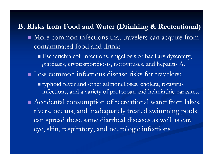#### B. Risks from Food and Water (Drinking & Recreational)

- $\blacksquare$  More common infections that travelers can acquire from contaminated food and drink:
	- Escherichia coli infections, shigellosis or bacillary dysentery, giardiasis, cryptosporidiosis, noroviruses, and hepatitis A.
- **Less common infectious disease risks for travelers:** 
	- typhoid fever and other salmonelloses, cholera, rotavirus infections, and a variety of protozoan and helminthic parasites.
- Accidental consumption of recreational water from lakes, rivers, oceans, and inadequately treated swimming pools can spread these same diarrheal diseases as well as ear, eye, skin, respiratory, and neurologic infections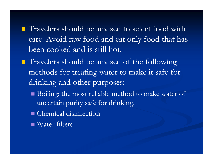■ Travelers should be advised to select food with care. Avoid raw food and eat only food that has been cooked and is still hot.

- **Travelers should be advised of the following** methods for treating water to make it safe for drinking and other purposes:
	- Boiling: the most reliable method to make water of uncertain purity safe for drinking.
	- Chemical disinfection
	- Water filters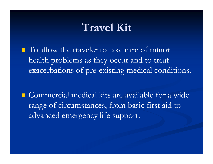### Travel Kit

■ To allow the traveler to take care of minor health problems as they occur and to treat exacerbations of pre-existing medical conditions.

■ Commercial medical kits are available for a wide range of circumstances, from basic first aid to advanced emergency life support.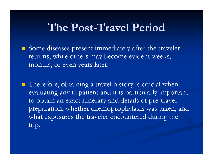## The Post-Travel Period

Some diseases present immediately after the traveler returns, while others may become evident weeks, months, or even years later.

■ Therefore, obtaining a travel history is crucial when evaluating any ill patient and it is particularly important to obtain an exact itinerary and details of pre-travel preparation, whether chemoprophylaxis was taken, and what exposures the traveler encountered during the trip.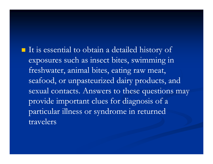It is essential to obtain a detailed history of exposures such as insect bites, swimming in freshwater, animal bites, eating raw meat, seafood, or unpasteurized dairy products, and sexual contacts. Answers to these questions may provide important clues for diagnosis of a particular illness or syndrome in returned travelers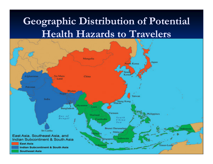## Geographic Distribution of Potential Health Hazards to Travelers

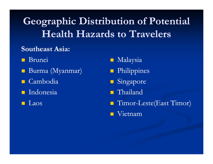### Geographic Distribution of Potential Health Hazards to Travelers

#### Southeast Asia:

- Brunei
- Burma (Myanmar)
- Cambodia
- **I**ndonesia
- Laos

 Malaysia  $\blacksquare$  Philippines a and a contract of the contract of the contract of the contract of the contract of the contract of the contract of the contract of the contract of the contract of the contract of the contract of the contract of the contra Singapore Thailand **Timor-Leste(East Timor)** Vietnam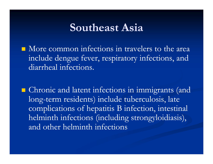#### Southeast Asia

More common infections in travelers to the area include dengue fever, respiratory infections, and diarrheal infections.

■ Chronic and latent infections in immigrants (and long-term residents) include tuberculosis, late complications of hepatitis B infection, intestinal helminth infections (including strongyloidiasis), and other helminth infections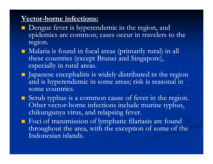#### <u>Vector-borne infections:</u>

- **Dengue fever is hyperendemic in the region, and** epidemics are common; cases occur in travelers to the region.
- Malaria is found in focal areas (primarily rural) in all these countries (except Brunei and Singapore), especially in rural areas.
- **Japanese encephalitis is widely distributed in the region** and is hyperendemic in some areas; risk is seasonal in some countries.
- Scrub typhus is a common cause of fever in the region. Other vector-borne infections include murine typhus, chikungunya virus, and relapsing fever.
- Foci of transmission of lymphatic filariasis are found throughout the area, with the exception of some of the Indonesian islands.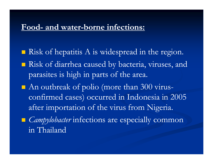#### Food- and water-borne infections:

 Risk of hepatitis A is widespread in the region. Risk of diarrhea caused by bacteria, viruses, and parasites is high in parts of the area.  $\blacksquare$  An outbreak of polio (more than 300 virusconfirmed cases) occurred in Indonesia in 2005 after importation of the virus from Nigeria.

Gampylobacter infections are especially common in Thailand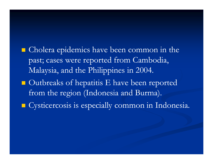- Cholera epidemics have been common in the past; cases were reported from Cambodia, Malaysia, and the Philippines in 2004.
- **Outbreaks of hepatitis E have been reported** from the region (Indonesia and Burma).
- **EXECUTE CALCE CONSTANDER IN EXECUTE:** Cysticercosis is especially common in Indonesia.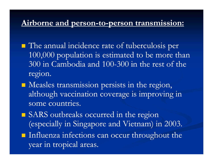### <u>Airborne and person-to-person transmission:</u>

- The annual incidence rate of tuberculosis per 100,000 population is estimated to be more than  $300$  in Cambodia and  $100$ - $300$  in the rest of the region.
- Measles transmission persists in the region, although vaccination coverage is improving in some countries.
- SARS outbreaks occurred in the region (especially in Singapore and Vietnam) in 2003.
- Influenza infections can occur throughout the year in tropical areas.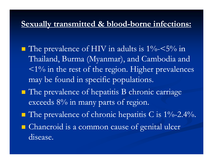### <u>Sexually transmitted & blood-borne infections:</u>

- The prevalence of HIV in adults is  $1\%$ - $\leq$ 5% in Thailand, Burma (Myanmar), and Cambodia and  $\langle 1\%$  in the rest of the region. Higher prevalences may be found in specific populations.
- The prevalence of hepatitis B chronic carriage exceeds 8% in many parts of region.
- $\blacksquare$  The prevalence of chronic hepatitis C is 1%-2.4%. ■ Chancroid is a common cause of genital ulcer disease.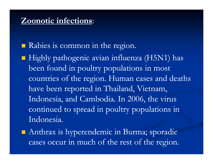#### Zoonotic infections:

Rabies is common in the region.

 Highly pathogenic avian influenza (H5N1) has been found in poultry populations in most countries of the region. Human cases and deaths have been reported in Thailand, Vietnam, Indonesia, and Cambodia. In 2006, the virus continued to spread in poultry populations in Indonesia.

 Anthrax is hyperendemic in Burma; sporadic cases occur in much of the rest of the region.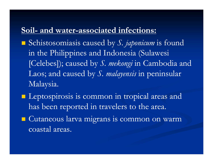#### Soil- and water-associated infections:

- Schistosomiasis caused by S. japonicum is found in the Philippines and Indonesia (Sulawesi [Celebes]); caused by S. mekongi in Cambodia and Laos; and caused by S. *malayensis* in peninsular Malaysia.
- **Leptospirosis is common in tropical areas and** has been reported in travelers to the area.
- **Cutaneous larva migrans is common on warm** coastal areas.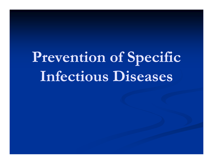# Prevention of Specific Infectious Diseases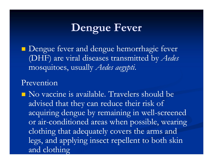### Dengue Fever

Dengue fever and dengue hemorrhagic fever (DHF) are viral diseases transmitted by Aedes mosquitoes, usually Aedes aegypti.

#### Prevention

No vaccine is available. Travelers should be advised that they can reduce their risk of acquiring dengue by remaining in well-screened or air-conditioned areas when possible, wearing clothing that adequately covers the arms and legs, and applying insect repellent to both skin and clothing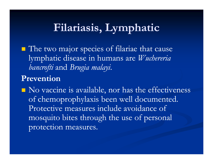### Filariasis, Lymphatic

The two major species of filariae that cause lymphatic disease in humans are Wuchereria bancrofti and Brugia malayi.

#### Prevention

No vaccine is available, nor has the effectiveness of chemoprophylaxis been well documented. Protective measures include avoidance of mosquito bites through the use of personal protection measures.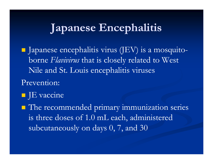### Japanese Encephalitis

- $\blacksquare$  Japanese encephalitis virus (JEV) is a mosquitoborne *Flavivirus* that is closely related to West Nile and St. Louis encephalitis viruses Prevention:
- JE vaccine

**The recommended primary immunization series** is three doses of 1.0 mL each, administered subcutaneously on days 0, 7, and 30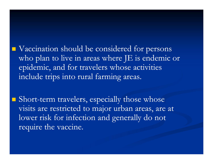Vaccination should be considered for persons who plan to live in areas where JE is endemic or epidemic, and for travelers whose activities include trips into rural farming areas.

Short-term travelers, especially those whose visits are restricted to major urban areas, are at lower risk for infection and generally do not require the vaccine.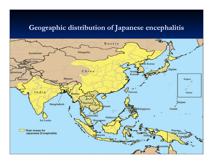#### Geographic distribution of Japanese encephalitis

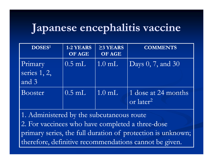## Japanese encephalitis vaccine

| DOSES <sup>1</sup>                                                                            | 1-2 YEARS<br>OF AGE | $\geq$ 3 YEARS<br><b>OF AGE</b> | <b>COMMENTS</b>                              |  |  |
|-----------------------------------------------------------------------------------------------|---------------------|---------------------------------|----------------------------------------------|--|--|
| Primary<br>series 1, 2,<br>and 3                                                              | $0.5$ mL            | $1.0$ mL                        | Days 0, 7, and 30                            |  |  |
| <b>Booster</b>                                                                                | $0.5$ mL            | $1.0$ mL                        | 1 dose at 24 months<br>or later <sup>2</sup> |  |  |
| 1. Administered by the subcutaneous route<br>2. For vaccinees who have completed a three-dose |                     |                                 |                                              |  |  |

primary series, the full duration of protection is unknown; therefore, definitive recommendations cannot be given.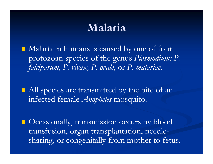#### Malaria

Malaria in humans is caused by one of four protozoan species of the genus Plasmodium: P. falciparum, P. vivax, P. ovale, or P. malariae.

All species are transmitted by the bite of an infected female Anopheles mosquito.

Occasionally, transmission occurs by blood transfusion, organ transplantation, needlesharing, or congenitally from mother to fetus.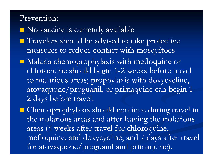#### Prevention:

- No vaccine is currently available
- Travelers should be advised to take protective measures to reduce contact with mosquitoes
- Malaria chemoprophylaxis with mefloquine or chloroquine should begin 1-2 weeks before travel to malarious areas; prophylaxis with doxycycline, atovaquone/proguanil, or primaquine can begin 1-2 days before travel.
- Chemoprophylaxis should continue during travel in the malarious areas and after leaving the malariousareas (4 weeks after travel for chloroquine, mefloquine, and doxycycline, and 7 days after travel for atovaquone/proguanil and primaquine).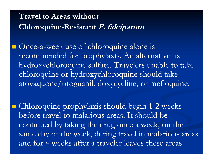#### Travel to Areas without Chloroquine-Resistant *P. falciparum*

Once-a-week use of chloroquine alone is recommended for prophylaxis. An alternative is hydroxychloroquine sulfate. Travelers unable to take chloroquine or hydroxychloroquine should take atovaquone/proguanil, doxycycline, or mefloquine.

■ Chloroquine prophylaxis should begin 1-2 weeks before travel to malarious areas. It should be continued by taking the drug once a week, on the same day of the week, during travel in malarious areas and for 4 weeks after a traveler leaves these areas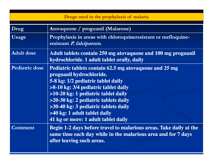| Drugs used in the prophylaxis of malaria |                                                                                                                                                                                                                                                                                                                                                                |  |  |  |
|------------------------------------------|----------------------------------------------------------------------------------------------------------------------------------------------------------------------------------------------------------------------------------------------------------------------------------------------------------------------------------------------------------------|--|--|--|
| Drug                                     | Atovaquone / proguanil (Malarone)                                                                                                                                                                                                                                                                                                                              |  |  |  |
| Usage                                    | Prophylaxis in areas with chloroquineresistant or mefloquine-<br>resistant P. falciparum.                                                                                                                                                                                                                                                                      |  |  |  |
| <b>Adult dose</b>                        | Adult tablets contain 250 mg atovaquone and 100 mg proguanil<br>hydrochloride. 1 adult tablet orally, daily                                                                                                                                                                                                                                                    |  |  |  |
| Pediatric dose                           | Pediatric tablets contain 62.5 mg atovaquone and 25 mg<br>proguanil hydrochloride.<br>5-8 kg: 1/2 pediatric tablet daily<br>>8-10 kg: 3/4 pediatric tablet daily<br>>10-20 kg: 1 pediatric tablet daily<br>>20-30 kg: 2 pediatric tablets daily<br>>30-40 kg: 3 pediatric tablets daily<br>>40 kg: 1 adult tablet daily<br>41 kg or more: 1 adult tablet daily |  |  |  |
| Comment                                  | Begin 1-2 days before travel to malarious areas. Take daily at the<br>same time each day while in the malarious area and for 7 days<br>after leaving such areas.                                                                                                                                                                                               |  |  |  |

<u> 1989 - Johann Barnett, mars eta idazlea (</u>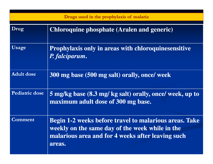| Drugs used in the prophylaxis of malaria |                                                                                                                                                                                 |  |  |
|------------------------------------------|---------------------------------------------------------------------------------------------------------------------------------------------------------------------------------|--|--|
| Drug                                     | <b>Chloroquine phosphate (Aralen and generic)</b>                                                                                                                               |  |  |
| Usage                                    | <b>Prophylaxis only in areas with chloroquinesensitive</b><br>P. falciparum.                                                                                                    |  |  |
| <b>Adult dose</b>                        | 300 mg base (500 mg salt) orally, once/ week                                                                                                                                    |  |  |
| Pediatric dose                           | 5 mg/kg base (8.3 mg/kg salt) orally, once/ week, up to<br>maximum adult dose of 300 mg base.                                                                                   |  |  |
| <b>Comment</b>                           | <b>Begin 1-2 weeks before travel to malarious areas. Take</b><br>weekly on the same day of the week while in the<br>malarious area and for 4 weeks after leaving such<br>areas. |  |  |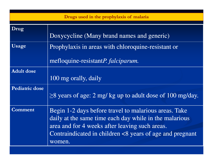| Drugs used in the prophylaxis of malaria |                                                                                                                                                                                                                                         |  |  |
|------------------------------------------|-----------------------------------------------------------------------------------------------------------------------------------------------------------------------------------------------------------------------------------------|--|--|
| Drug                                     | Doxycycline (Many brand names and generic)                                                                                                                                                                                              |  |  |
| Usage                                    | Prophylaxis in areas with chloroquine-resistant or<br>mefloquine-resistantP. falciparum.                                                                                                                                                |  |  |
| <b>Adult dose</b>                        | 100 mg orally, daily                                                                                                                                                                                                                    |  |  |
| Pediatric dose                           | $\geq$ 8 years of age: 2 mg/ kg up to adult dose of 100 mg/day.                                                                                                                                                                         |  |  |
| <b>Comment</b>                           | Begin 1-2 days before travel to malarious areas. Take<br>daily at the same time each day while in the malarious<br>area and for 4 weeks after leaving such areas.<br>Contraindicated in children <8 years of age and pregnant<br>women. |  |  |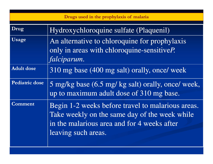| Drugs used in the prophylaxis of malaria |                                                                                                                                                                          |  |  |
|------------------------------------------|--------------------------------------------------------------------------------------------------------------------------------------------------------------------------|--|--|
| Drug                                     | Hydroxychloroquine sulfate (Plaquenil)                                                                                                                                   |  |  |
| Usage                                    | An alternative to chloroquine for prophylaxis<br>only in areas with chloroquine-sensitive <i>P</i> .<br>falciparum.                                                      |  |  |
| <b>Adult dose</b>                        | 310 mg base (400 mg salt) orally, once/ week                                                                                                                             |  |  |
| Pediatric dose                           | 5 mg/kg base (6.5 mg/kg salt) orally, once/ week,<br>up to maximum adult dose of 310 mg base.                                                                            |  |  |
| Comment                                  | Begin 1-2 weeks before travel to malarious areas.<br>Take weekly on the same day of the week while<br>in the malarious area and for 4 weeks after<br>leaving such areas. |  |  |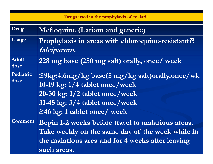| Drugs used in the prophylaxis of malaria |                                                                                                                                                                                           |  |  |
|------------------------------------------|-------------------------------------------------------------------------------------------------------------------------------------------------------------------------------------------|--|--|
| Drug                                     | Mefloquine (Lariam and generic)                                                                                                                                                           |  |  |
| Usage                                    | Prophylaxis in areas with chloroquine-resistant P.<br>falciparum.                                                                                                                         |  |  |
| Adult<br>dose                            | 228 mg base (250 mg salt) orally, once/ week                                                                                                                                              |  |  |
| Pediatric<br>dose                        | S9kg:4.6mg/kg base(5 mg/kg salt)orally,once/wk<br>10-19 kg: 1/4 tablet once/week<br>20-30 kg: 1/2 tablet once/week<br>31-45 kg: 3/4 tablet once/week<br>$\geq$ 46 kg: 1 tablet once/ week |  |  |
| <b>Comment</b>                           | Begin 1-2 weeks before travel to malarious areas.<br>Take weekly on the same day of the week while in<br>the malarious area and for 4 weeks after leaving<br>such areas.                  |  |  |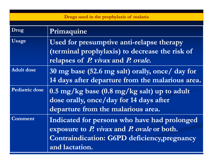| Drugs used in the prophylaxis of malaria |                                                                                                                                                              |  |  |  |
|------------------------------------------|--------------------------------------------------------------------------------------------------------------------------------------------------------------|--|--|--|
|                                          |                                                                                                                                                              |  |  |  |
| Drug                                     | Primaquine                                                                                                                                                   |  |  |  |
| Usage                                    | Used for presumptive anti-relapse therapy<br>(terminal prophylaxis) to decrease the risk of<br>relapses of P. vivax and P. ovale.                            |  |  |  |
| <b>Adult dose</b>                        | 30 mg base (52.6 mg salt) orally, once/ day for<br>14 days after departure from the malarious area.                                                          |  |  |  |
| Pediatric dose                           | $0.5$ mg/kg base $(0.8 \text{ mg/kg} \text{ salt})$ up to adult<br>dose orally, once/day for 14 days after<br>departure from the malarious area.             |  |  |  |
| Comment                                  | Indicated for persons who have had prolonged<br>exposure to P. vivax and P. ovale or both.<br>Contraindication: G6PD deficiency, pregnancy<br>and lactation. |  |  |  |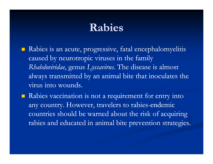### Rabies

- Rabies is an acute, progressive, fatal encephalomyelitis caused by neurotropic viruses in the familyRhabdoviridae, genus Lyssavirus. The disease is almost always transmitted by an animal bite that inoculates the virus into wounds.
- Rabies vaccination is not a requirement for entry into any country. However, travelers to rabies-endemic countries should be warned about the risk of acquiring rabies and educated in animal bite prevention strategies.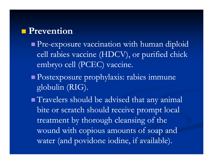### **Prevention**

- $\blacksquare$  Pre-exposure vaccination with human diploid cell rabies vaccine (HDCV), or purified chick embryo cell (PCEC) vaccine.
- Postexposure prophylaxis: rabies immune globulin (RIG).
- Travelers should be advised that any animal bite or scratch should receive prompt local treatment by thorough cleansing of the wound with copious amounts of soap and water (and povidone iodine, if available).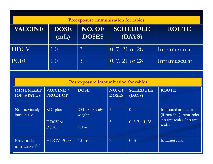#### Preexposure immunization for rabies

| <b>VACCINE</b> | <b>DOSE</b><br>(mL) | NO. OF<br><b>DOSES</b> | <b>SCHEDULE</b><br>(DAYS)             | <b>ROUTE</b>  |
|----------------|---------------------|------------------------|---------------------------------------|---------------|
| <b>HDCV</b>    | 1.0                 |                        | $\vert 0, 7, 21 \text{ or } 28 \vert$ | Intramuscular |
| <b>PCEC</b>    | 1.0                 |                        | $(0, 7, 21 \text{ or } 28)$           | Intramuscular |

| Postexposure immunization for rabies    |                                    |                                               |                                  |                                   |                                                                                          |
|-----------------------------------------|------------------------------------|-----------------------------------------------|----------------------------------|-----------------------------------|------------------------------------------------------------------------------------------|
| <b>IMMUNIZAT</b><br><b>ION STATUS</b>   | VACCINE /<br><b>PRODUCT</b>        | <b>DOSE</b>                                   | NO. OF<br><b>DOSES</b>           | <b>SCHEDULE</b><br>(DAYS)         | <b>ROUTE</b>                                                                             |
| Not previously<br>immunized             | RIG plus<br>HDCV or<br><b>PCEC</b> | $20 \text{ IU/kg}$ body<br>weight<br>$1.0$ mL | $\overline{1}$<br>$\overline{5}$ | $\overline{0}$<br>0, 3, 7, 14, 28 | Infiltrated at bite site<br>(if possible); remainder<br>intramuscular. Intramu<br>scular |
| Previously<br>immunized <sup>2, 3</sup> | <b>HDCV PCEC</b>                   | $1.0$ mL                                      | 2                                | 0, 3                              | Intramuscular                                                                            |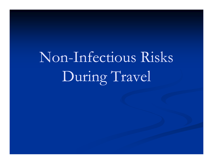# Non-Infectious Risks During Travel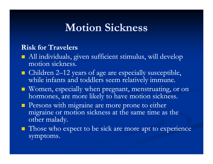### Motion Sickness

#### Risk for Travelers

- All individuals, given sufficient stimulus, will develop motion sickness.
- Children 2–12 years of age are especially susceptible, while infants and toddlers seem relatively immune.
- Women, especially when pregnant, menstruating, or on hormones, are more likely to have motion sickness.
- Persons with migraine are more prone to either migraine or motion sickness at the same time as theother malady.
- Those who expect to be sick are more apt to experience symptoms.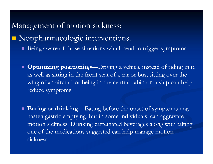### Management of motion sickness: Nonpharmacologic interventions. Being aware of those situations which tend to trigger symptoms.

- Optimizing positioning—Driving a vehicle instead of riding in it, as well as sitting in the front seat of a car or bus, sitting over the wing of an aircraft or being in the central cabin on a ship can help reduce symptoms.
- Eating or drinking—Eating before the onset of symptoms may hasten gastric emptying, but in some individuals, can aggravate motion sickness. Drinking caffeinated beverages along with taking one of the medications suggested can help manage motion sickness.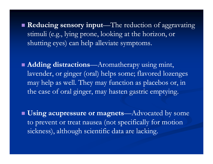Reducing sensory input—The reduction of aggravating stimuli (e.g., lying prone, looking at the horizon, or shutting eyes) can help alleviate symptoms.

- $\blacksquare$  Adding distractions—Aromatherapy using mint, lavender, or ginger (oral) helps some; flavored lozenges may help as well. They may function as placebos or, in the case of oral ginger, may hasten gastric emptying.
- $\blacksquare$  Using acupressure or magnets—Advocated by some to prevent or treat nausea (not specifically for motion sickness), although scientific data are lacking.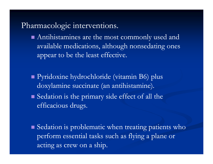#### Pharmacologic interventions.

- Antihistamines are the most commonly used and available medications, although nonsedating ones appear to be the least effective.
- Pyridoxine hydrochloride (vitamin B6) plus doxylamine succinate (an antihistamine).
- Sedation is the primary side effect of all the efficacious drugs.
- Sedation is problematic when treating patients who perform essential tasks such as flying a plane or acting as crew on a ship.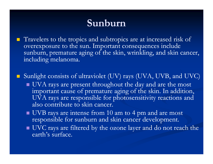### Sunburn

**Travelers to the tropics and subtropics are at increased risk of** overexposure to the sun. Important consequences include sunburn, premature aging of the skin, wrinkling, and skin cancer, including melanoma.

Sunlight consists of ultraviolet (UV) rays (UVA, UVB, and UVC)

- $\blacksquare$  UVA rays are present throughout the day and are the most important cause of premature aging of the skin. In addition, UVA rays are responsible for photosensitivity reactions and also contribute to skin cancer.
- UVB rays are intense from 10 am to 4 pm and are most responsible for sunburn and skin cancer development.
- $\blacksquare$  UVC rays are filtered by the ozone layer and do not reach the earth's surface.